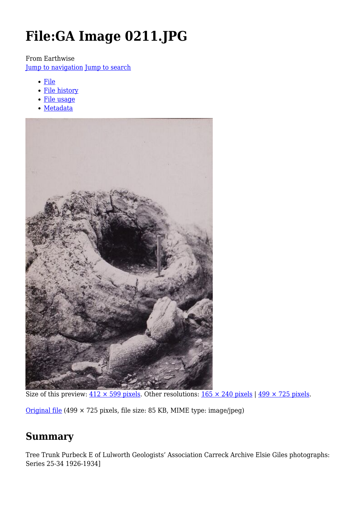# **File:GA Image 0211.JPG**

From Earthwise

[Jump to navigation](#page--1-0) [Jump to search](#page--1-0)

- [File](#page--1-0)
- [File history](#page--1-0)
- [File usage](#page--1-0)
- [Metadata](#page--1-0)



Size of this preview:  $412 \times 599$  pixels. Other resolutions:  $165 \times 240$  pixels |  $499 \times 725$  pixels.

[Original file](http://earthwise.bgs.ac.uk/images/9/9c/GA_Image_0211.JPG) (499 × 725 pixels, file size: 85 KB, MIME type: image/jpeg)

# **Summary**

Tree Trunk Purbeck E of Lulworth Geologists' Association Carreck Archive Elsie Giles photographs: Series 25-34 1926-1934]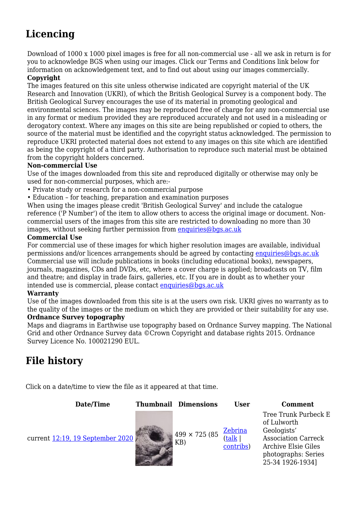# **Licencing**

Download of 1000 x 1000 pixel images is free for all non-commercial use - all we ask in return is for you to acknowledge BGS when using our images. Click our Terms and Conditions link below for information on acknowledgement text, and to find out about using our images commercially.

#### **Copyright**

The images featured on this site unless otherwise indicated are copyright material of the UK Research and Innovation (UKRI), of which the British Geological Survey is a component body. The British Geological Survey encourages the use of its material in promoting geological and environmental sciences. The images may be reproduced free of charge for any non-commercial use in any format or medium provided they are reproduced accurately and not used in a misleading or derogatory context. Where any images on this site are being republished or copied to others, the source of the material must be identified and the copyright status acknowledged. The permission to reproduce UKRI protected material does not extend to any images on this site which are identified as being the copyright of a third party. Authorisation to reproduce such material must be obtained from the copyright holders concerned.

#### **Non-commercial Use**

Use of the images downloaded from this site and reproduced digitally or otherwise may only be used for non-commercial purposes, which are:-

- Private study or research for a non-commercial purpose
- Education for teaching, preparation and examination purposes

When using the images please credit 'British Geological Survey' and include the catalogue reference ('P Number') of the item to allow others to access the original image or document. Noncommercial users of the images from this site are restricted to downloading no more than 30 images, without seeking further permission from [enquiries@bgs.ac.uk](mailto:enquiries@bgs.ac.uk)

#### **Commercial Use**

For commercial use of these images for which higher resolution images are available, individual permissions and/or licences arrangements should be agreed by contacting [enquiries@bgs.ac.uk](mailto:enquiries@bgs.ac.uk) Commercial use will include publications in books (including educational books), newspapers, journals, magazines, CDs and DVDs, etc, where a cover charge is applied; broadcasts on TV, film and theatre; and display in trade fairs, galleries, etc. If you are in doubt as to whether your intended use is commercial, please contact [enquiries@bgs.ac.uk](mailto:enquiries@bgs.ac.uk)

#### **Warranty**

Use of the images downloaded from this site is at the users own risk. UKRI gives no warranty as to the quality of the images or the medium on which they are provided or their suitability for any use.

#### **Ordnance Survey topography**

Maps and diagrams in Earthwise use topography based on Ordnance Survey mapping. The National Grid and other Ordnance Survey data ©Crown Copyright and database rights 2015. Ordnance Survey Licence No. 100021290 EUL.

# **File history**

Click on a date/time to view the file as it appeared at that time.

| Date/Time                        | <b>Thumbnail Dimensions</b>  | <b>User</b>                           | <b>Comment</b>                                                                                                                                            |
|----------------------------------|------------------------------|---------------------------------------|-----------------------------------------------------------------------------------------------------------------------------------------------------------|
| current 12:19, 19 September 2020 | $499 \times 725 (85)$<br>KB) | <u>Zebrina</u><br>(talk)<br>contribs) | Tree Trunk Purbeck E<br>of Lulworth<br>Geologists'<br><b>Association Carreck</b><br><b>Archive Elsie Giles</b><br>photographs: Series<br>25-34 1926-1934] |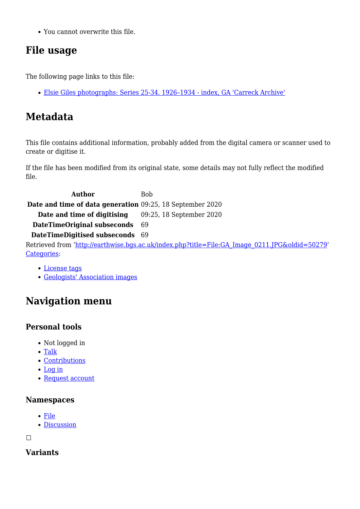You cannot overwrite this file.

# **File usage**

The following page links to this file:

[Elsie Giles photographs: Series 25-34. 1926–1934 - index, GA 'Carreck Archive'](http://earthwise.bgs.ac.uk/index.php/Elsie_Giles_photographs:_Series_25-34._1926%E2%80%931934_-_index,_GA_%27Carreck_Archive%27)

# **Metadata**

This file contains additional information, probably added from the digital camera or scanner used to create or digitise it.

If the file has been modified from its original state, some details may not fully reflect the modified file.

**Author** Bob **Date and time of data generation** 09:25, 18 September 2020 **Date and time of digitising** 09:25, 18 September 2020 **DateTimeOriginal subseconds** 69 **DateTimeDigitised subseconds** 69 Retrieved from ['http://earthwise.bgs.ac.uk/index.php?title=File:GA\\_Image\\_0211.JPG&oldid=50279](http://earthwise.bgs.ac.uk/index.php?title=File:GA_Image_0211.JPG&oldid=50279)' [Categories:](http://earthwise.bgs.ac.uk/index.php/Special:Categories)

#### [License tags](http://earthwise.bgs.ac.uk/index.php/Category:License_tags)

[Geologists' Association images](http://earthwise.bgs.ac.uk/index.php/Category:Geologists%27_Association_images)

# **Navigation menu**

## **Personal tools**

- Not logged in
- [Talk](http://earthwise.bgs.ac.uk/index.php/Special:MyTalk)
- [Contributions](http://earthwise.bgs.ac.uk/index.php/Special:MyContributions)
- [Log in](http://earthwise.bgs.ac.uk/index.php?title=Special:UserLogin&returnto=File%3AGA+Image+0211.JPG&returntoquery=action%3Dmpdf)
- [Request account](http://earthwise.bgs.ac.uk/index.php/Special:RequestAccount)

### **Namespaces**

- [File](http://earthwise.bgs.ac.uk/index.php/File:GA_Image_0211.JPG)
- [Discussion](http://earthwise.bgs.ac.uk/index.php?title=File_talk:GA_Image_0211.JPG&action=edit&redlink=1)

 $\Box$ 

# **Variants**